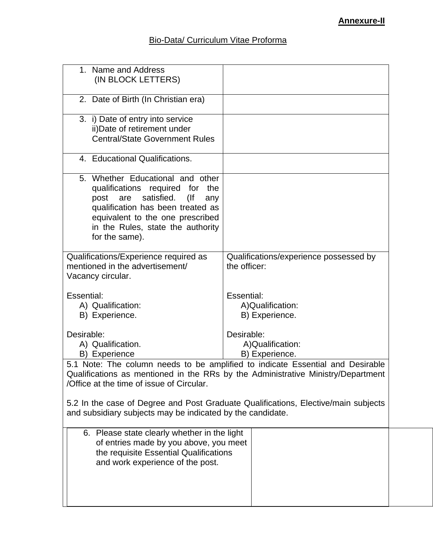## Bio-Data/ Curriculum Vitae Proforma

| 1. Name and Address<br>(IN BLOCK LETTERS)                                                                                                                                                                                                            |                                                        |  |  |
|------------------------------------------------------------------------------------------------------------------------------------------------------------------------------------------------------------------------------------------------------|--------------------------------------------------------|--|--|
| 2. Date of Birth (In Christian era)                                                                                                                                                                                                                  |                                                        |  |  |
| 3. i) Date of entry into service<br>ii) Date of retirement under<br><b>Central/State Government Rules</b>                                                                                                                                            |                                                        |  |  |
| 4. Educational Qualifications.                                                                                                                                                                                                                       |                                                        |  |  |
| 5. Whether Educational and other<br>qualifications required for<br>the<br>satisfied.<br>post<br>are<br>$($ lf<br>any<br>qualification has been treated as<br>equivalent to the one prescribed<br>in the Rules, state the authority<br>for the same). |                                                        |  |  |
| Qualifications/Experience required as<br>mentioned in the advertisement/<br>Vacancy circular.                                                                                                                                                        | Qualifications/experience possessed by<br>the officer: |  |  |
| Essential:<br>A) Qualification:<br>B) Experience.                                                                                                                                                                                                    | Essential:<br>A)Qualification:<br>B) Experience.       |  |  |
| Desirable:<br>A) Qualification.<br>B) Experience                                                                                                                                                                                                     | Desirable:<br>A)Qualification:<br>B) Experience.       |  |  |
| 5.1 Note: The column needs to be amplified to indicate Essential and Desirable<br>Qualifications as mentioned in the RRs by the Administrative Ministry/Department<br>/Office at the time of issue of Circular.                                      |                                                        |  |  |
| 5.2 In the case of Degree and Post Graduate Qualifications, Elective/main subjects<br>and subsidiary subjects may be indicated by the candidate.                                                                                                     |                                                        |  |  |
| 6. Please state clearly whether in the light<br>of entries made by you above, you meet<br>the requisite Essential Qualifications<br>and work experience of the post.                                                                                 |                                                        |  |  |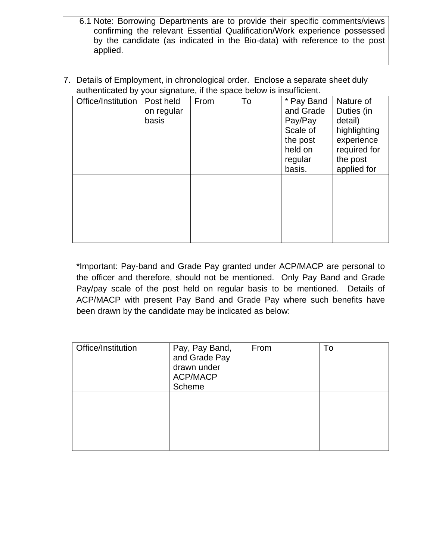- 6.1 Note: Borrowing Departments are to provide their specific comments/views confirming the relevant Essential Qualification/Work experience possessed by the candidate (as indicated in the Bio-data) with reference to the post applied.
- 7. Details of Employment, in chronological order. Enclose a separate sheet duly authenticated by your signature, if the space below is insufficient.

| Office/Institution | Post held<br>on regular<br>basis | From | To | * Pay Band<br>and Grade<br>Pay/Pay<br>Scale of<br>the post<br>held on<br>regular<br>basis. | Nature of<br>Duties (in<br>detail)<br>highlighting<br>experience<br>required for<br>the post<br>applied for |
|--------------------|----------------------------------|------|----|--------------------------------------------------------------------------------------------|-------------------------------------------------------------------------------------------------------------|
|                    |                                  |      |    |                                                                                            |                                                                                                             |

\*Important: Pay-band and Grade Pay granted under ACP/MACP are personal to the officer and therefore, should not be mentioned. Only Pay Band and Grade Pay/pay scale of the post held on regular basis to be mentioned. Details of ACP/MACP with present Pay Band and Grade Pay where such benefits have been drawn by the candidate may be indicated as below:

| Office/Institution | Pay, Pay Band,<br>and Grade Pay<br>drawn under<br><b>ACP/MACP</b><br>Scheme | From | To |
|--------------------|-----------------------------------------------------------------------------|------|----|
|                    |                                                                             |      |    |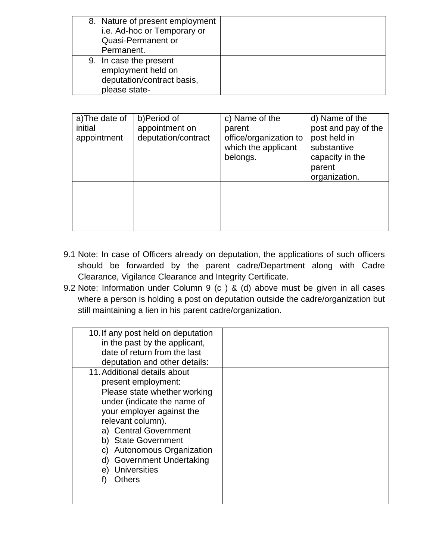| 8. Nature of present employment<br>i.e. Ad-hoc or Temporary or<br><b>Quasi-Permanent or</b><br>Permanent. |  |
|-----------------------------------------------------------------------------------------------------------|--|
| 9. In case the present<br>employment held on<br>deputation/contract basis,<br>please state-               |  |

| a)The date of<br>initial<br>appointment | b)Period of<br>appointment on<br>deputation/contract | c) Name of the<br>parent<br>office/organization to<br>which the applicant<br>belongs. | d) Name of the<br>post and pay of the<br>post held in<br>substantive<br>capacity in the<br>parent<br>organization. |
|-----------------------------------------|------------------------------------------------------|---------------------------------------------------------------------------------------|--------------------------------------------------------------------------------------------------------------------|
|                                         |                                                      |                                                                                       |                                                                                                                    |

- 9.1 Note: In case of Officers already on deputation, the applications of such officers should be forwarded by the parent cadre/Department along with Cadre Clearance, Vigilance Clearance and Integrity Certificate.
- 9.2 Note: Information under Column 9 (c ) & (d) above must be given in all cases where a person is holding a post on deputation outside the cadre/organization but still maintaining a lien in his parent cadre/organization.

| 10. If any post held on deputation |  |
|------------------------------------|--|
| in the past by the applicant,      |  |
| date of return from the last       |  |
| deputation and other details:      |  |
| 11. Additional details about       |  |
| present employment:                |  |
| Please state whether working       |  |
| under (indicate the name of        |  |
| your employer against the          |  |
| relevant column).                  |  |
| a) Central Government              |  |
| b) State Government                |  |
| c) Autonomous Organization         |  |
| d) Government Undertaking          |  |
| <b>Universities</b><br>e)          |  |
| Others                             |  |
|                                    |  |
|                                    |  |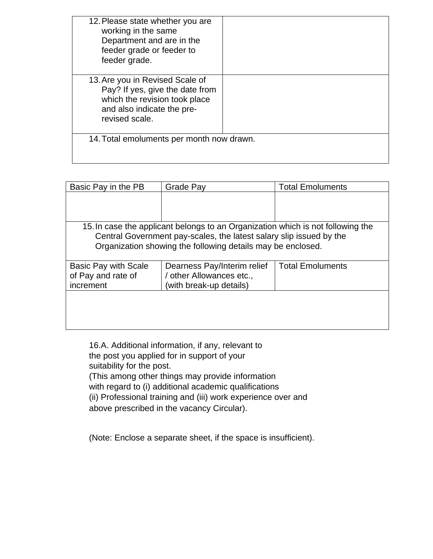| 12. Please state whether you are<br>working in the same<br>Department and are in the<br>feeder grade or feeder to<br>feeder grade.                  |  |  |
|-----------------------------------------------------------------------------------------------------------------------------------------------------|--|--|
| 13. Are you in Revised Scale of<br>Pay? If yes, give the date from<br>which the revision took place<br>and also indicate the pre-<br>revised scale. |  |  |
| 14. Total emoluments per month now drawn.                                                                                                           |  |  |

| Basic Pay in the PB         | Grade Pay                                                                       | <b>Total Emoluments</b> |
|-----------------------------|---------------------------------------------------------------------------------|-------------------------|
|                             |                                                                                 |                         |
|                             |                                                                                 |                         |
|                             |                                                                                 |                         |
|                             | 15. In case the applicant belongs to an Organization which is not following the |                         |
|                             | Central Government pay-scales, the latest salary slip issued by the             |                         |
|                             | Organization showing the following details may be enclosed.                     |                         |
|                             |                                                                                 |                         |
| <b>Basic Pay with Scale</b> | Dearness Pay/Interim relief                                                     | <b>Total Emoluments</b> |
| of Pay and rate of          | / other Allowances etc.,                                                        |                         |
| increment                   | (with break-up details)                                                         |                         |
|                             |                                                                                 |                         |
|                             |                                                                                 |                         |
|                             |                                                                                 |                         |
|                             |                                                                                 |                         |

16.A. Additional information, if any, relevant to the post you applied for in support of your suitability for the post. (This among other things may provide information with regard to (i) additional academic qualifications (ii) Professional training and (iii) work experience over and above prescribed in the vacancy Circular).

(Note: Enclose a separate sheet, if the space is insufficient).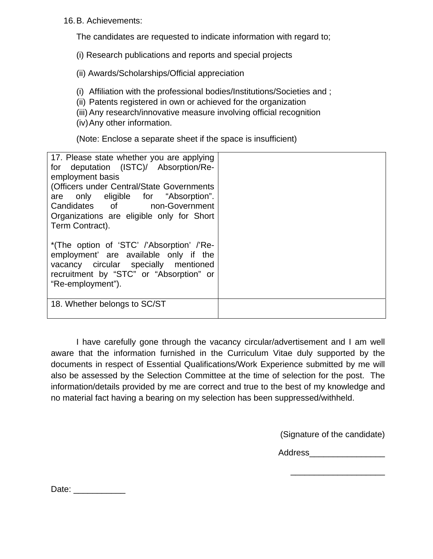16. B. Achievements:

The candidates are requested to indicate information with regard to;

(i) Research publications and reports and special projects

(ii) Awards/Scholarships/Official appreciation

(i) Affiliation with the professional bodies/Institutions/Societies and ;

(ii) Patents registered in own or achieved for the organization

(iii) Any research/innovative measure involving official recognition

(iv) Any other information.

(Note: Enclose a separate sheet if the space is insufficient)

| 17. Please state whether you are applying<br>for deputation (ISTC)/ Absorption/Re-<br>employment basis<br>(Officers under Central/State Governments<br>are only eligible for "Absorption".<br>Candidates of non-Government<br>Organizations are eligible only for Short |  |
|-------------------------------------------------------------------------------------------------------------------------------------------------------------------------------------------------------------------------------------------------------------------------|--|
| Term Contract).                                                                                                                                                                                                                                                         |  |
| *(The option of 'STC' /'Absorption' /'Re-<br>employment' are available only if the<br>vacancy circular specially mentioned<br>recruitment by "STC" or "Absorption" or<br>"Re-employment").                                                                              |  |
| 18. Whether belongs to SC/ST                                                                                                                                                                                                                                            |  |

 I have carefully gone through the vacancy circular/advertisement and I am well aware that the information furnished in the Curriculum Vitae duly supported by the documents in respect of Essential Qualifications/Work Experience submitted by me will also be assessed by the Selection Committee at the time of selection for the post. The information/details provided by me are correct and true to the best of my knowledge and no material fact having a bearing on my selection has been suppressed/withheld.

(Signature of the candidate)

Address\_\_\_\_\_\_\_\_\_\_\_\_\_\_\_\_

\_\_\_\_\_\_\_\_\_\_\_\_\_\_\_\_\_\_\_\_

Date: \_\_\_\_\_\_\_\_\_\_\_